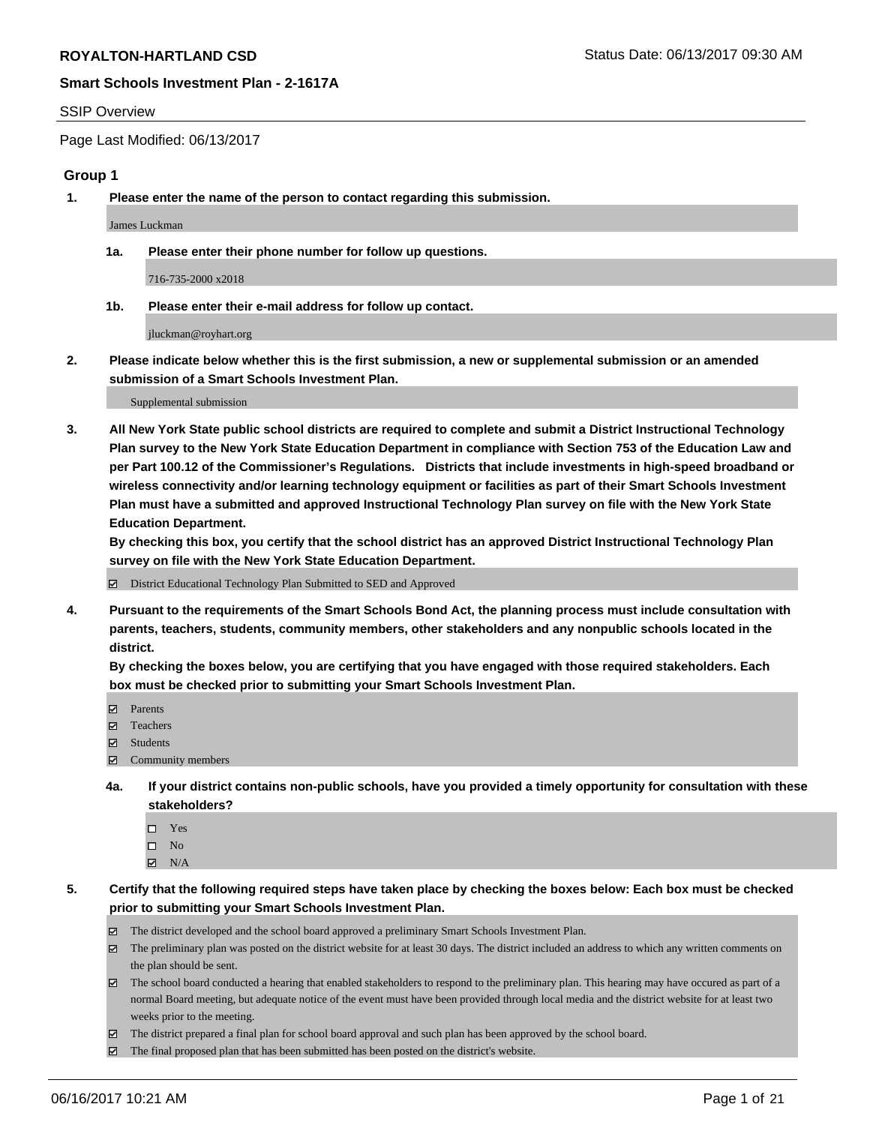## SSIP Overview

Page Last Modified: 06/13/2017

## **Group 1**

**1. Please enter the name of the person to contact regarding this submission.**

James Luckman

**1a. Please enter their phone number for follow up questions.**

716-735-2000 x2018

**1b. Please enter their e-mail address for follow up contact.**

jluckman@royhart.org

**2. Please indicate below whether this is the first submission, a new or supplemental submission or an amended submission of a Smart Schools Investment Plan.**

Supplemental submission

**3. All New York State public school districts are required to complete and submit a District Instructional Technology Plan survey to the New York State Education Department in compliance with Section 753 of the Education Law and per Part 100.12 of the Commissioner's Regulations. Districts that include investments in high-speed broadband or wireless connectivity and/or learning technology equipment or facilities as part of their Smart Schools Investment Plan must have a submitted and approved Instructional Technology Plan survey on file with the New York State Education Department.** 

**By checking this box, you certify that the school district has an approved District Instructional Technology Plan survey on file with the New York State Education Department.**

District Educational Technology Plan Submitted to SED and Approved

**4. Pursuant to the requirements of the Smart Schools Bond Act, the planning process must include consultation with parents, teachers, students, community members, other stakeholders and any nonpublic schools located in the district.** 

**By checking the boxes below, you are certifying that you have engaged with those required stakeholders. Each box must be checked prior to submitting your Smart Schools Investment Plan.**

- **マ** Parents
- □ Teachers
- Students
- $\Xi$  Community members
- **4a. If your district contains non-public schools, have you provided a timely opportunity for consultation with these stakeholders?**
	- Yes
	- $\hfill \square$  No
	- $\boxtimes$  N/A
- **5. Certify that the following required steps have taken place by checking the boxes below: Each box must be checked prior to submitting your Smart Schools Investment Plan.**
	- The district developed and the school board approved a preliminary Smart Schools Investment Plan.
	- $\boxtimes$  The preliminary plan was posted on the district website for at least 30 days. The district included an address to which any written comments on the plan should be sent.
	- $\boxtimes$  The school board conducted a hearing that enabled stakeholders to respond to the preliminary plan. This hearing may have occured as part of a normal Board meeting, but adequate notice of the event must have been provided through local media and the district website for at least two weeks prior to the meeting.
	- The district prepared a final plan for school board approval and such plan has been approved by the school board.
	- $\boxtimes$  The final proposed plan that has been submitted has been posted on the district's website.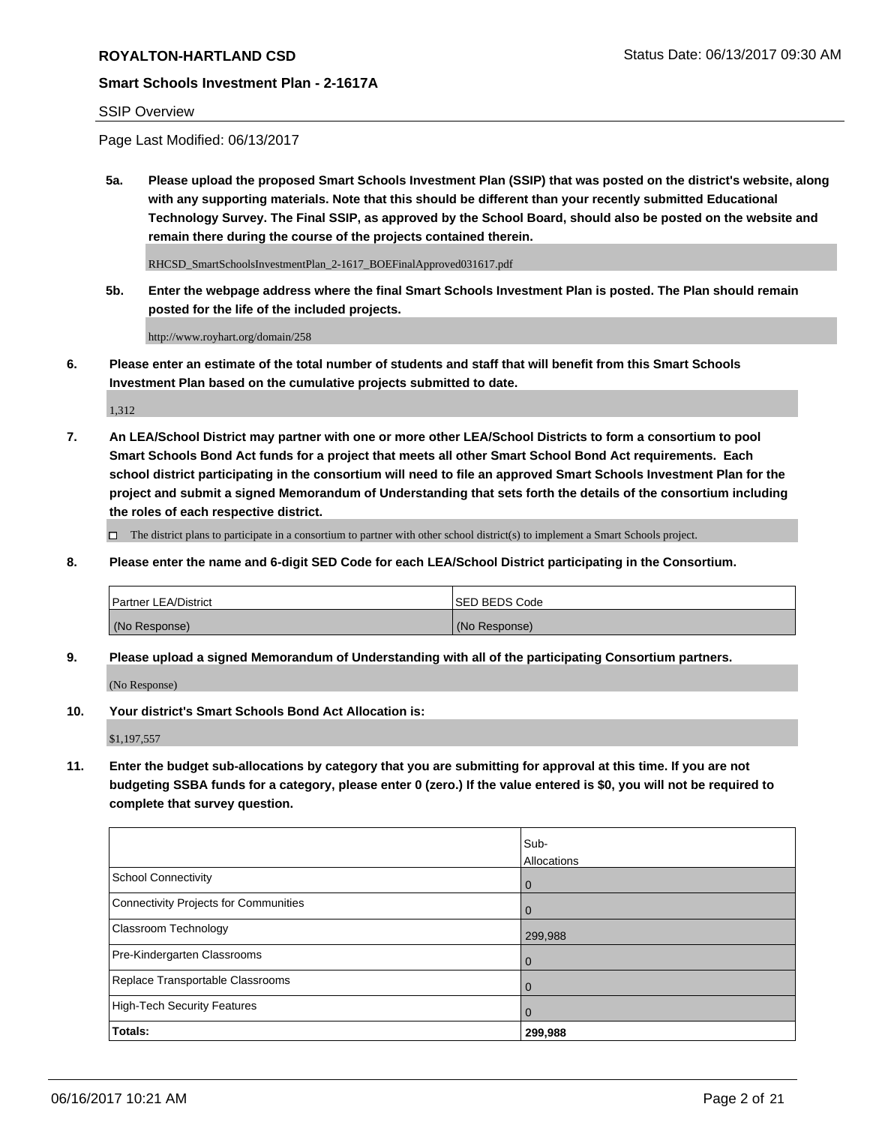## SSIP Overview

Page Last Modified: 06/13/2017

**5a. Please upload the proposed Smart Schools Investment Plan (SSIP) that was posted on the district's website, along with any supporting materials. Note that this should be different than your recently submitted Educational Technology Survey. The Final SSIP, as approved by the School Board, should also be posted on the website and remain there during the course of the projects contained therein.**

RHCSD\_SmartSchoolsInvestmentPlan\_2-1617\_BOEFinalApproved031617.pdf

**5b. Enter the webpage address where the final Smart Schools Investment Plan is posted. The Plan should remain posted for the life of the included projects.**

http://www.royhart.org/domain/258

**6. Please enter an estimate of the total number of students and staff that will benefit from this Smart Schools Investment Plan based on the cumulative projects submitted to date.**

1,312

**7. An LEA/School District may partner with one or more other LEA/School Districts to form a consortium to pool Smart Schools Bond Act funds for a project that meets all other Smart School Bond Act requirements. Each school district participating in the consortium will need to file an approved Smart Schools Investment Plan for the project and submit a signed Memorandum of Understanding that sets forth the details of the consortium including the roles of each respective district.**

 $\Box$  The district plans to participate in a consortium to partner with other school district(s) to implement a Smart Schools project.

**8. Please enter the name and 6-digit SED Code for each LEA/School District participating in the Consortium.**

| <b>Partner LEA/District</b> | <b>ISED BEDS Code</b> |
|-----------------------------|-----------------------|
| (No Response)               | (No Response)         |

**9. Please upload a signed Memorandum of Understanding with all of the participating Consortium partners.**

(No Response)

**10. Your district's Smart Schools Bond Act Allocation is:**

\$1,197,557

**11. Enter the budget sub-allocations by category that you are submitting for approval at this time. If you are not budgeting SSBA funds for a category, please enter 0 (zero.) If the value entered is \$0, you will not be required to complete that survey question.**

|                                       | Sub-        |
|---------------------------------------|-------------|
|                                       | Allocations |
| <b>School Connectivity</b>            | 0           |
| Connectivity Projects for Communities | $\Omega$    |
| <b>Classroom Technology</b>           | 299,988     |
| Pre-Kindergarten Classrooms           | 0           |
| Replace Transportable Classrooms      | O           |
| <b>High-Tech Security Features</b>    | 0           |
| Totals:                               | 299,988     |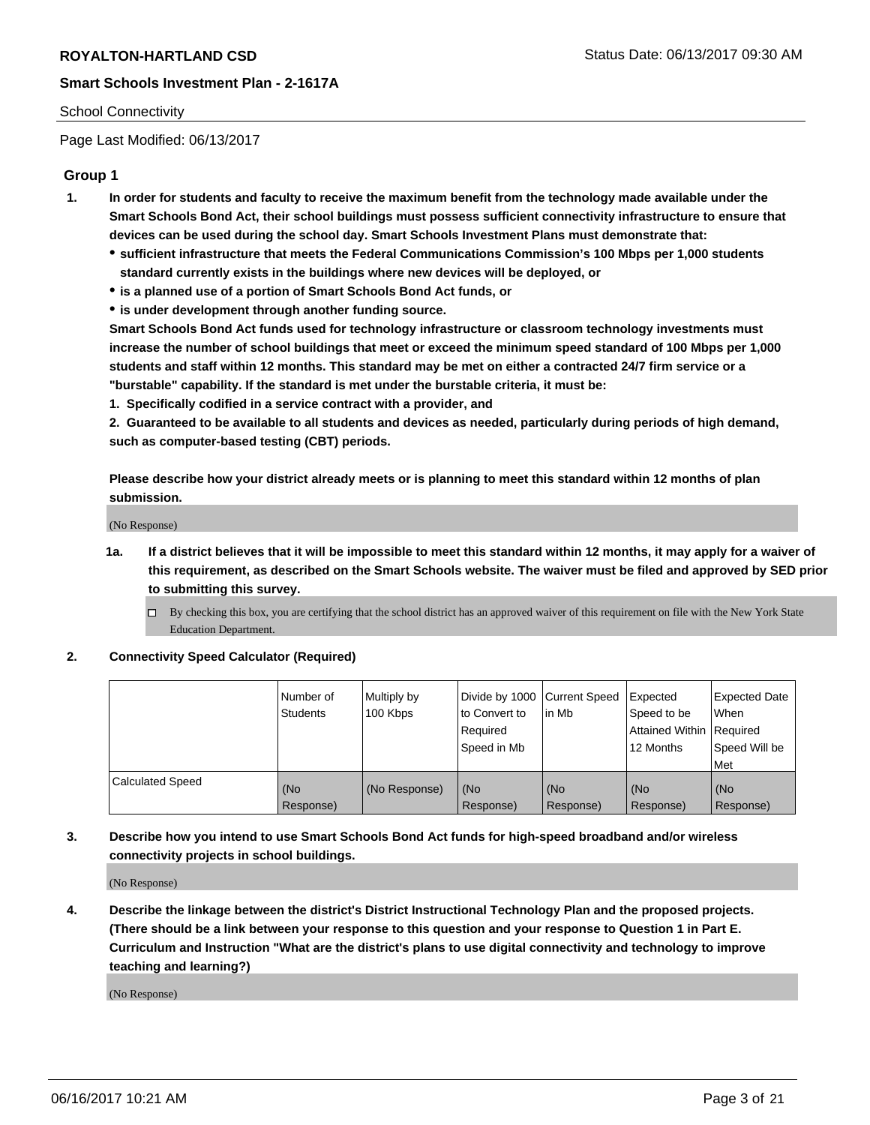## School Connectivity

Page Last Modified: 06/13/2017

## **Group 1**

- **1. In order for students and faculty to receive the maximum benefit from the technology made available under the Smart Schools Bond Act, their school buildings must possess sufficient connectivity infrastructure to ensure that devices can be used during the school day. Smart Schools Investment Plans must demonstrate that:**
	- **sufficient infrastructure that meets the Federal Communications Commission's 100 Mbps per 1,000 students standard currently exists in the buildings where new devices will be deployed, or**
	- **is a planned use of a portion of Smart Schools Bond Act funds, or**
	- **is under development through another funding source.**

**Smart Schools Bond Act funds used for technology infrastructure or classroom technology investments must increase the number of school buildings that meet or exceed the minimum speed standard of 100 Mbps per 1,000 students and staff within 12 months. This standard may be met on either a contracted 24/7 firm service or a "burstable" capability. If the standard is met under the burstable criteria, it must be:**

**1. Specifically codified in a service contract with a provider, and**

**2. Guaranteed to be available to all students and devices as needed, particularly during periods of high demand, such as computer-based testing (CBT) periods.**

**Please describe how your district already meets or is planning to meet this standard within 12 months of plan submission.**

(No Response)

- **1a. If a district believes that it will be impossible to meet this standard within 12 months, it may apply for a waiver of this requirement, as described on the Smart Schools website. The waiver must be filed and approved by SED prior to submitting this survey.**
	- By checking this box, you are certifying that the school district has an approved waiver of this requirement on file with the New York State Education Department.

## **2. Connectivity Speed Calculator (Required)**

|                         | l Number of<br><b>Students</b> | Multiply by<br>100 Kbps | Divide by 1000   Current Speed<br>to Convert to<br>Required<br>l Speed in Mb | in Mb            | Expected<br>Speed to be<br>Attained Within Required<br>12 Months | <b>Expected Date</b><br>When<br>Speed Will be<br><b>Met</b> |
|-------------------------|--------------------------------|-------------------------|------------------------------------------------------------------------------|------------------|------------------------------------------------------------------|-------------------------------------------------------------|
| <b>Calculated Speed</b> | (No<br>Response)               | (No Response)           | (No<br>Response)                                                             | (No<br>Response) | (No<br>Response)                                                 | l (No<br>Response)                                          |

## **3. Describe how you intend to use Smart Schools Bond Act funds for high-speed broadband and/or wireless connectivity projects in school buildings.**

(No Response)

**4. Describe the linkage between the district's District Instructional Technology Plan and the proposed projects. (There should be a link between your response to this question and your response to Question 1 in Part E. Curriculum and Instruction "What are the district's plans to use digital connectivity and technology to improve teaching and learning?)**

(No Response)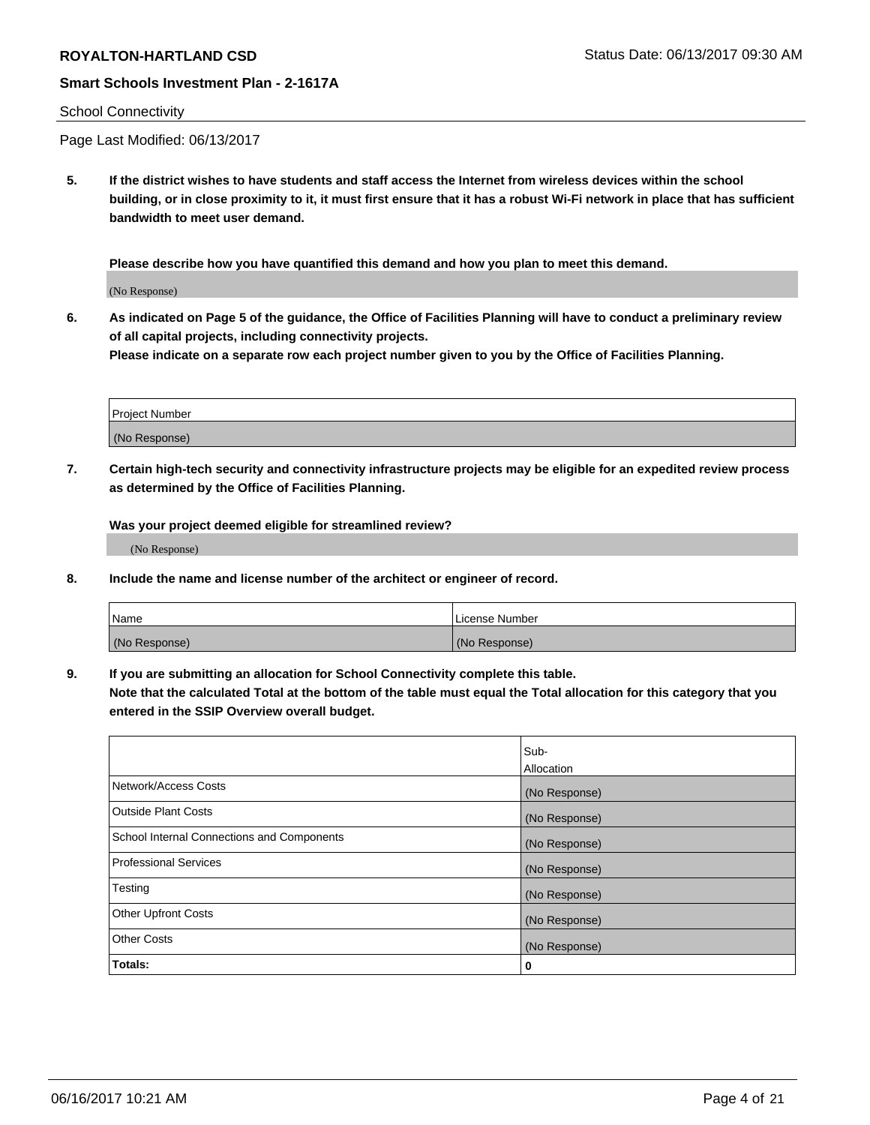### School Connectivity

Page Last Modified: 06/13/2017

**5. If the district wishes to have students and staff access the Internet from wireless devices within the school building, or in close proximity to it, it must first ensure that it has a robust Wi-Fi network in place that has sufficient bandwidth to meet user demand.**

**Please describe how you have quantified this demand and how you plan to meet this demand.**

(No Response)

**6. As indicated on Page 5 of the guidance, the Office of Facilities Planning will have to conduct a preliminary review of all capital projects, including connectivity projects.**

**Please indicate on a separate row each project number given to you by the Office of Facilities Planning.**

| Project Number |  |
|----------------|--|
| (No Response)  |  |

**7. Certain high-tech security and connectivity infrastructure projects may be eligible for an expedited review process as determined by the Office of Facilities Planning.**

**Was your project deemed eligible for streamlined review?**

(No Response)

**8. Include the name and license number of the architect or engineer of record.**

| Name          | License Number |
|---------------|----------------|
| (No Response) | (No Response)  |

**9. If you are submitting an allocation for School Connectivity complete this table.**

**Note that the calculated Total at the bottom of the table must equal the Total allocation for this category that you entered in the SSIP Overview overall budget.** 

|                                            | Sub-          |
|--------------------------------------------|---------------|
|                                            | Allocation    |
| Network/Access Costs                       | (No Response) |
| Outside Plant Costs                        | (No Response) |
| School Internal Connections and Components | (No Response) |
| <b>Professional Services</b>               | (No Response) |
| Testing                                    | (No Response) |
| <b>Other Upfront Costs</b>                 | (No Response) |
| <b>Other Costs</b>                         | (No Response) |
| Totals:                                    | 0             |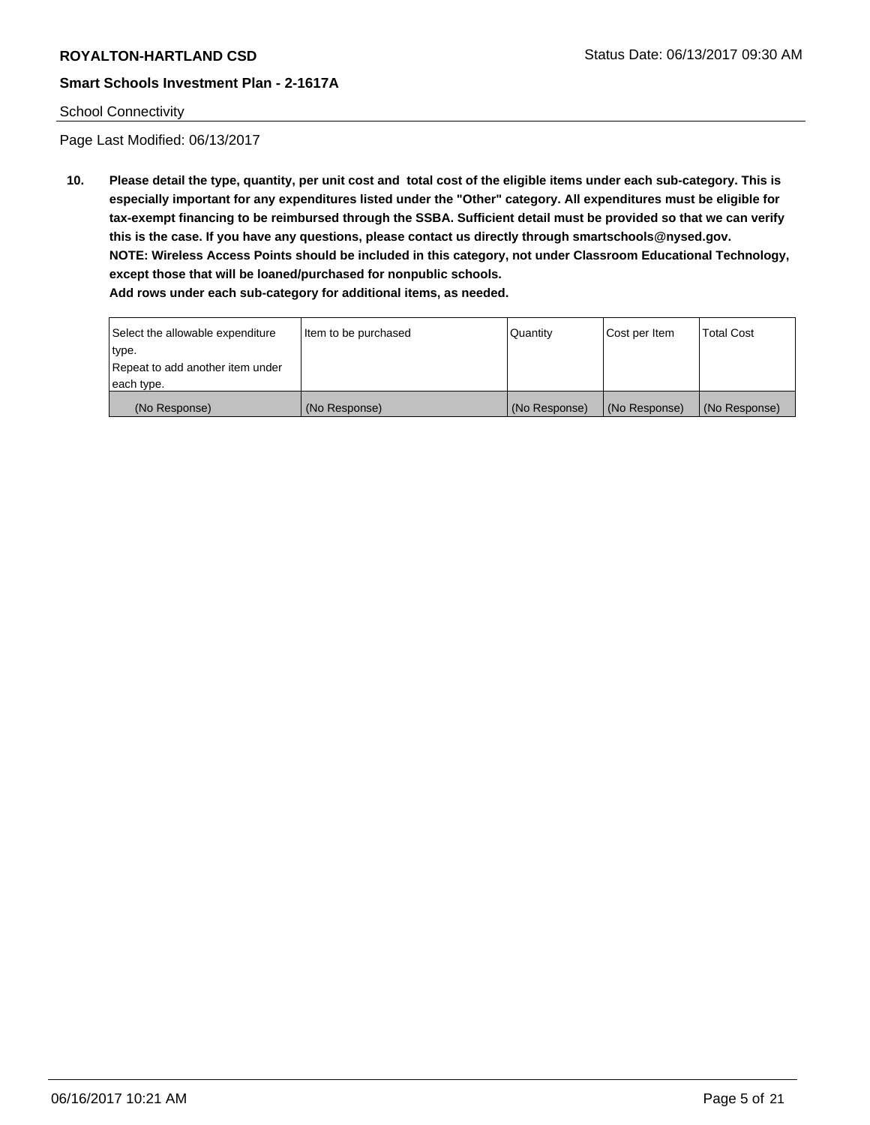## School Connectivity

Page Last Modified: 06/13/2017

**10. Please detail the type, quantity, per unit cost and total cost of the eligible items under each sub-category. This is especially important for any expenditures listed under the "Other" category. All expenditures must be eligible for tax-exempt financing to be reimbursed through the SSBA. Sufficient detail must be provided so that we can verify this is the case. If you have any questions, please contact us directly through smartschools@nysed.gov. NOTE: Wireless Access Points should be included in this category, not under Classroom Educational Technology, except those that will be loaned/purchased for nonpublic schools.**

| Select the allowable expenditure | Item to be purchased | Quantity      | Cost per Item | Total Cost    |
|----------------------------------|----------------------|---------------|---------------|---------------|
| type.                            |                      |               |               |               |
| Repeat to add another item under |                      |               |               |               |
| each type.                       |                      |               |               |               |
| (No Response)                    | (No Response)        | (No Response) | (No Response) | (No Response) |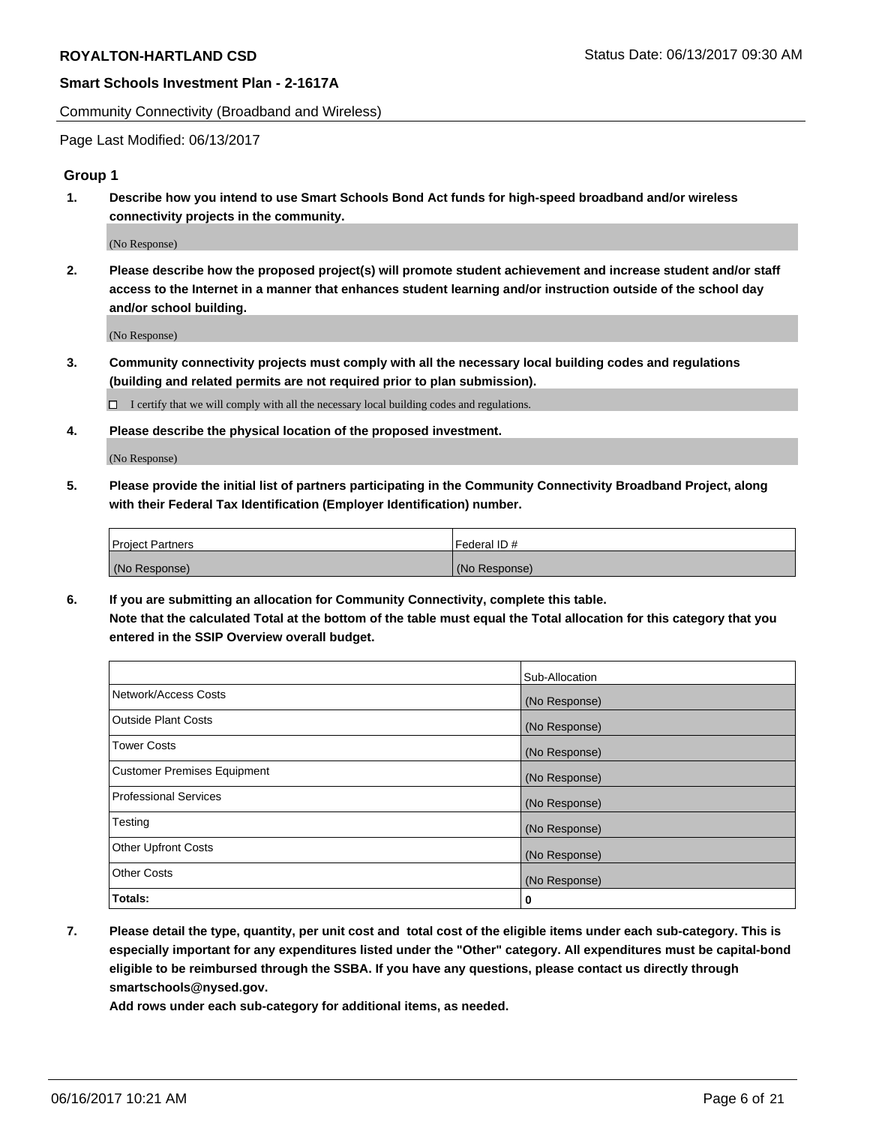Community Connectivity (Broadband and Wireless)

Page Last Modified: 06/13/2017

## **Group 1**

**1. Describe how you intend to use Smart Schools Bond Act funds for high-speed broadband and/or wireless connectivity projects in the community.**

(No Response)

**2. Please describe how the proposed project(s) will promote student achievement and increase student and/or staff access to the Internet in a manner that enhances student learning and/or instruction outside of the school day and/or school building.**

(No Response)

**3. Community connectivity projects must comply with all the necessary local building codes and regulations (building and related permits are not required prior to plan submission).**

 $\Box$  I certify that we will comply with all the necessary local building codes and regulations.

**4. Please describe the physical location of the proposed investment.**

(No Response)

**5. Please provide the initial list of partners participating in the Community Connectivity Broadband Project, along with their Federal Tax Identification (Employer Identification) number.**

| <b>Project Partners</b> | Federal ID#     |
|-------------------------|-----------------|
| (No Response)           | l (No Response) |

**6. If you are submitting an allocation for Community Connectivity, complete this table. Note that the calculated Total at the bottom of the table must equal the Total allocation for this category that you entered in the SSIP Overview overall budget.**

|                                    | Sub-Allocation |
|------------------------------------|----------------|
| Network/Access Costs               | (No Response)  |
| Outside Plant Costs                | (No Response)  |
| <b>Tower Costs</b>                 | (No Response)  |
| <b>Customer Premises Equipment</b> | (No Response)  |
| <b>Professional Services</b>       | (No Response)  |
| Testing                            | (No Response)  |
| <b>Other Upfront Costs</b>         | (No Response)  |
| <b>Other Costs</b>                 | (No Response)  |
| Totals:                            | 0              |

**7. Please detail the type, quantity, per unit cost and total cost of the eligible items under each sub-category. This is especially important for any expenditures listed under the "Other" category. All expenditures must be capital-bond eligible to be reimbursed through the SSBA. If you have any questions, please contact us directly through smartschools@nysed.gov.**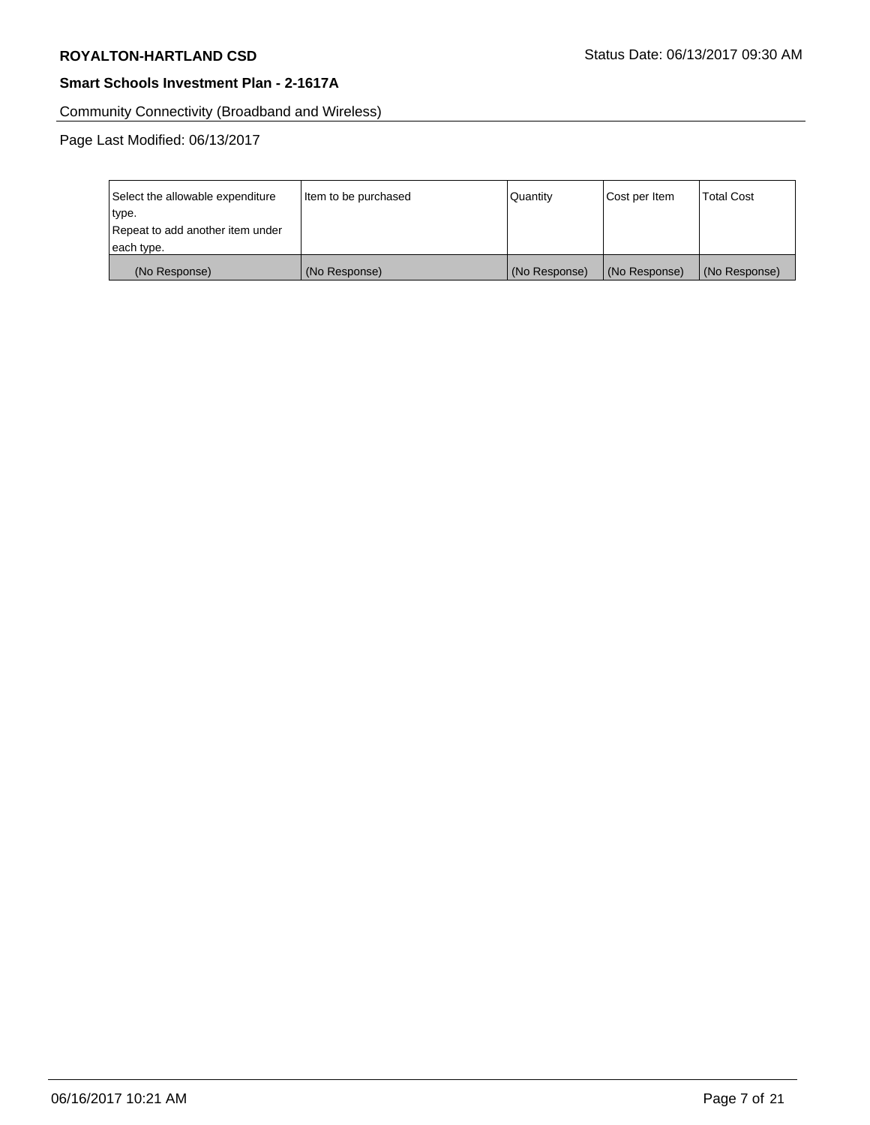Community Connectivity (Broadband and Wireless)

| Select the allowable expenditure | Item to be purchased | Quantity      | Cost per Item | <b>Total Cost</b> |
|----------------------------------|----------------------|---------------|---------------|-------------------|
| type.                            |                      |               |               |                   |
| Repeat to add another item under |                      |               |               |                   |
| each type.                       |                      |               |               |                   |
| (No Response)                    | (No Response)        | (No Response) | (No Response) | (No Response)     |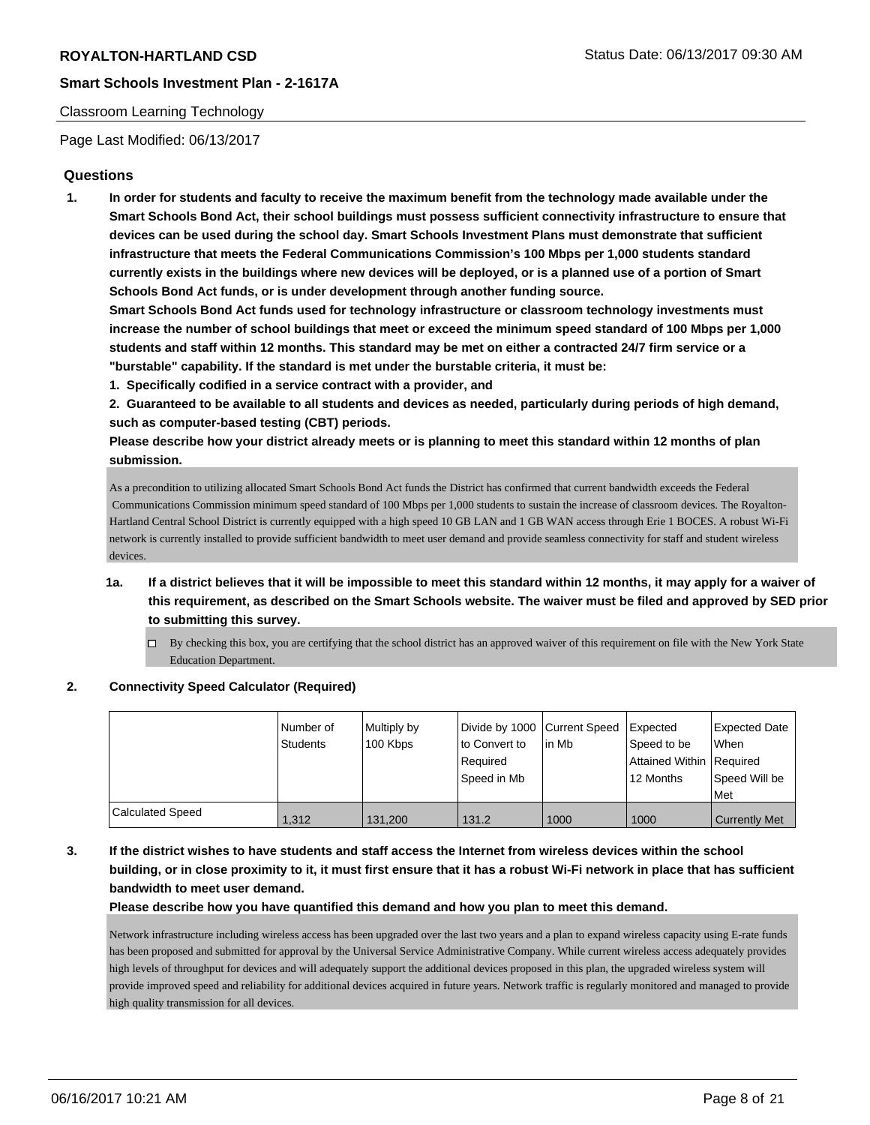## Classroom Learning Technology

Page Last Modified: 06/13/2017

## **Questions**

**1. In order for students and faculty to receive the maximum benefit from the technology made available under the Smart Schools Bond Act, their school buildings must possess sufficient connectivity infrastructure to ensure that devices can be used during the school day. Smart Schools Investment Plans must demonstrate that sufficient infrastructure that meets the Federal Communications Commission's 100 Mbps per 1,000 students standard currently exists in the buildings where new devices will be deployed, or is a planned use of a portion of Smart Schools Bond Act funds, or is under development through another funding source.**

**Smart Schools Bond Act funds used for technology infrastructure or classroom technology investments must increase the number of school buildings that meet or exceed the minimum speed standard of 100 Mbps per 1,000 students and staff within 12 months. This standard may be met on either a contracted 24/7 firm service or a "burstable" capability. If the standard is met under the burstable criteria, it must be:**

**1. Specifically codified in a service contract with a provider, and**

**2. Guaranteed to be available to all students and devices as needed, particularly during periods of high demand, such as computer-based testing (CBT) periods.**

**Please describe how your district already meets or is planning to meet this standard within 12 months of plan submission.**

As a precondition to utilizing allocated Smart Schools Bond Act funds the District has confirmed that current bandwidth exceeds the Federal Communications Commission minimum speed standard of 100 Mbps per 1,000 students to sustain the increase of classroom devices. The Royalton-Hartland Central School District is currently equipped with a high speed 10 GB LAN and 1 GB WAN access through Erie 1 BOCES. A robust Wi-Fi network is currently installed to provide sufficient bandwidth to meet user demand and provide seamless connectivity for staff and student wireless devices.

- **1a. If a district believes that it will be impossible to meet this standard within 12 months, it may apply for a waiver of this requirement, as described on the Smart Schools website. The waiver must be filed and approved by SED prior to submitting this survey.**
	- $\Box$  By checking this box, you are certifying that the school district has an approved waiver of this requirement on file with the New York State Education Department.

## **2. Connectivity Speed Calculator (Required)**

|                         | Number of<br><b>Students</b> | Multiply by<br>100 Kbps | Divide by 1000 Current Speed<br>to Convert to<br>Required<br>Speed in Mb | lin Mb | Expected<br>Speed to be<br>Attained Within Required<br>12 Months | <b>Expected Date</b><br>When<br>Speed Will be<br>Met |
|-------------------------|------------------------------|-------------------------|--------------------------------------------------------------------------|--------|------------------------------------------------------------------|------------------------------------------------------|
| <b>Calculated Speed</b> | 1.312                        | 131.200                 | 131.2                                                                    | 1000   | 1000                                                             | <b>Currently Met</b>                                 |

# **3. If the district wishes to have students and staff access the Internet from wireless devices within the school building, or in close proximity to it, it must first ensure that it has a robust Wi-Fi network in place that has sufficient bandwidth to meet user demand.**

**Please describe how you have quantified this demand and how you plan to meet this demand.**

Network infrastructure including wireless access has been upgraded over the last two years and a plan to expand wireless capacity using E-rate funds has been proposed and submitted for approval by the Universal Service Administrative Company. While current wireless access adequately provides high levels of throughput for devices and will adequately support the additional devices proposed in this plan, the upgraded wireless system will provide improved speed and reliability for additional devices acquired in future years. Network traffic is regularly monitored and managed to provide high quality transmission for all devices.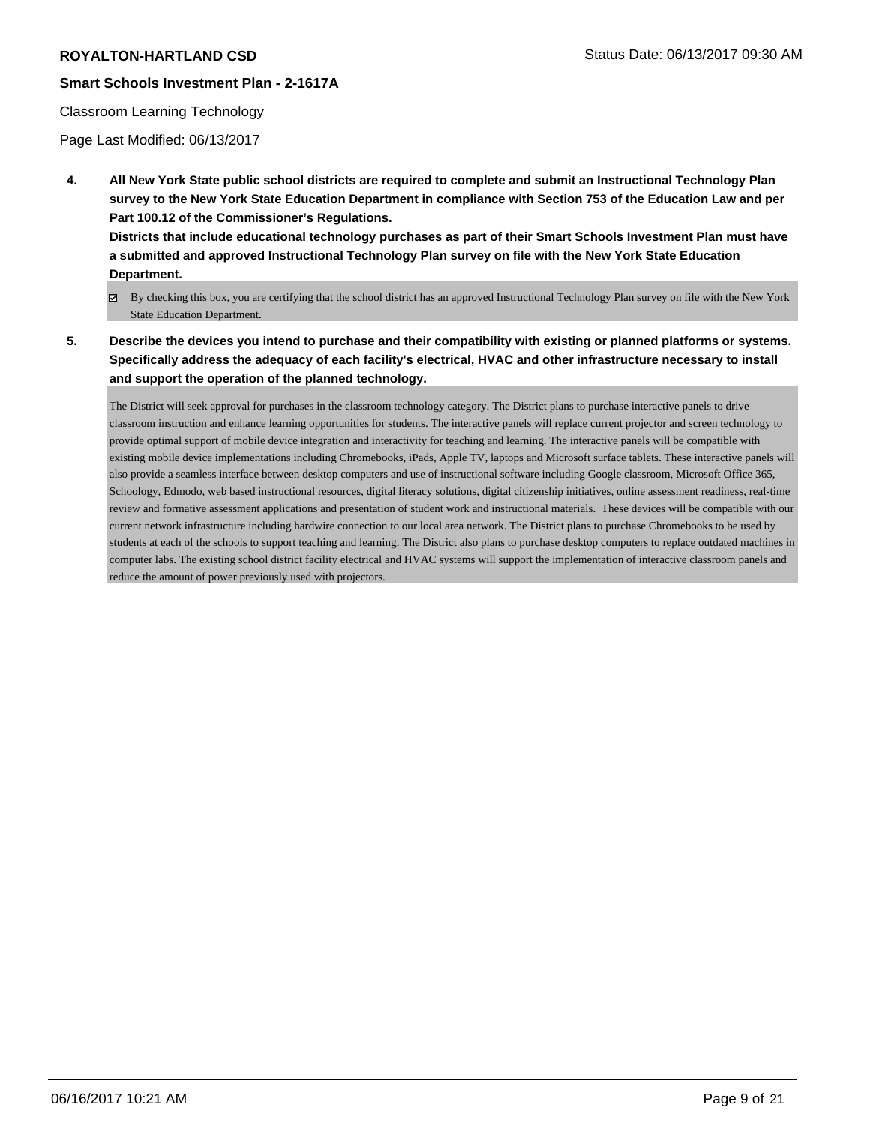## Classroom Learning Technology

Page Last Modified: 06/13/2017

**4. All New York State public school districts are required to complete and submit an Instructional Technology Plan survey to the New York State Education Department in compliance with Section 753 of the Education Law and per Part 100.12 of the Commissioner's Regulations.**

**Districts that include educational technology purchases as part of their Smart Schools Investment Plan must have a submitted and approved Instructional Technology Plan survey on file with the New York State Education Department.**

- By checking this box, you are certifying that the school district has an approved Instructional Technology Plan survey on file with the New York State Education Department.
- **5. Describe the devices you intend to purchase and their compatibility with existing or planned platforms or systems. Specifically address the adequacy of each facility's electrical, HVAC and other infrastructure necessary to install and support the operation of the planned technology.**

The District will seek approval for purchases in the classroom technology category. The District plans to purchase interactive panels to drive classroom instruction and enhance learning opportunities for students. The interactive panels will replace current projector and screen technology to provide optimal support of mobile device integration and interactivity for teaching and learning. The interactive panels will be compatible with existing mobile device implementations including Chromebooks, iPads, Apple TV, laptops and Microsoft surface tablets. These interactive panels will also provide a seamless interface between desktop computers and use of instructional software including Google classroom, Microsoft Office 365, Schoology, Edmodo, web based instructional resources, digital literacy solutions, digital citizenship initiatives, online assessment readiness, real-time review and formative assessment applications and presentation of student work and instructional materials. These devices will be compatible with our current network infrastructure including hardwire connection to our local area network. The District plans to purchase Chromebooks to be used by students at each of the schools to support teaching and learning. The District also plans to purchase desktop computers to replace outdated machines in computer labs. The existing school district facility electrical and HVAC systems will support the implementation of interactive classroom panels and reduce the amount of power previously used with projectors.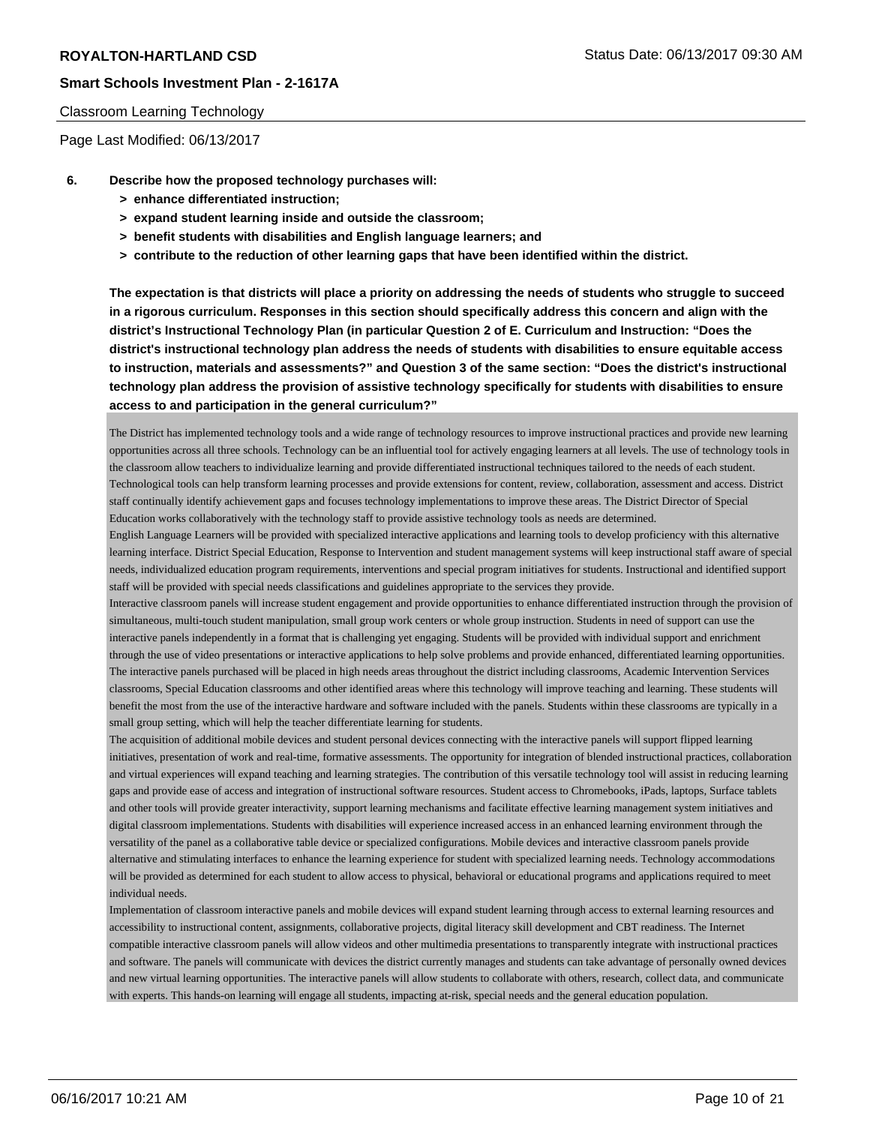## Classroom Learning Technology

Page Last Modified: 06/13/2017

- **6. Describe how the proposed technology purchases will:**
	- **> enhance differentiated instruction;**
	- **> expand student learning inside and outside the classroom;**
	- **> benefit students with disabilities and English language learners; and**
	- **> contribute to the reduction of other learning gaps that have been identified within the district.**

**The expectation is that districts will place a priority on addressing the needs of students who struggle to succeed in a rigorous curriculum. Responses in this section should specifically address this concern and align with the district's Instructional Technology Plan (in particular Question 2 of E. Curriculum and Instruction: "Does the district's instructional technology plan address the needs of students with disabilities to ensure equitable access to instruction, materials and assessments?" and Question 3 of the same section: "Does the district's instructional technology plan address the provision of assistive technology specifically for students with disabilities to ensure access to and participation in the general curriculum?"**

The District has implemented technology tools and a wide range of technology resources to improve instructional practices and provide new learning opportunities across all three schools. Technology can be an influential tool for actively engaging learners at all levels. The use of technology tools in the classroom allow teachers to individualize learning and provide differentiated instructional techniques tailored to the needs of each student. Technological tools can help transform learning processes and provide extensions for content, review, collaboration, assessment and access. District staff continually identify achievement gaps and focuses technology implementations to improve these areas. The District Director of Special Education works collaboratively with the technology staff to provide assistive technology tools as needs are determined.

English Language Learners will be provided with specialized interactive applications and learning tools to develop proficiency with this alternative learning interface. District Special Education, Response to Intervention and student management systems will keep instructional staff aware of special needs, individualized education program requirements, interventions and special program initiatives for students. Instructional and identified support staff will be provided with special needs classifications and guidelines appropriate to the services they provide.

Interactive classroom panels will increase student engagement and provide opportunities to enhance differentiated instruction through the provision of simultaneous, multi-touch student manipulation, small group work centers or whole group instruction. Students in need of support can use the interactive panels independently in a format that is challenging yet engaging. Students will be provided with individual support and enrichment through the use of video presentations or interactive applications to help solve problems and provide enhanced, differentiated learning opportunities. The interactive panels purchased will be placed in high needs areas throughout the district including classrooms, Academic Intervention Services classrooms, Special Education classrooms and other identified areas where this technology will improve teaching and learning. These students will benefit the most from the use of the interactive hardware and software included with the panels. Students within these classrooms are typically in a small group setting, which will help the teacher differentiate learning for students.

The acquisition of additional mobile devices and student personal devices connecting with the interactive panels will support flipped learning initiatives, presentation of work and real-time, formative assessments. The opportunity for integration of blended instructional practices, collaboration and virtual experiences will expand teaching and learning strategies. The contribution of this versatile technology tool will assist in reducing learning gaps and provide ease of access and integration of instructional software resources. Student access to Chromebooks, iPads, laptops, Surface tablets and other tools will provide greater interactivity, support learning mechanisms and facilitate effective learning management system initiatives and digital classroom implementations. Students with disabilities will experience increased access in an enhanced learning environment through the versatility of the panel as a collaborative table device or specialized configurations. Mobile devices and interactive classroom panels provide alternative and stimulating interfaces to enhance the learning experience for student with specialized learning needs. Technology accommodations will be provided as determined for each student to allow access to physical, behavioral or educational programs and applications required to meet individual needs.

Implementation of classroom interactive panels and mobile devices will expand student learning through access to external learning resources and accessibility to instructional content, assignments, collaborative projects, digital literacy skill development and CBT readiness. The Internet compatible interactive classroom panels will allow videos and other multimedia presentations to transparently integrate with instructional practices and software. The panels will communicate with devices the district currently manages and students can take advantage of personally owned devices and new virtual learning opportunities. The interactive panels will allow students to collaborate with others, research, collect data, and communicate with experts. This hands-on learning will engage all students, impacting at-risk, special needs and the general education population.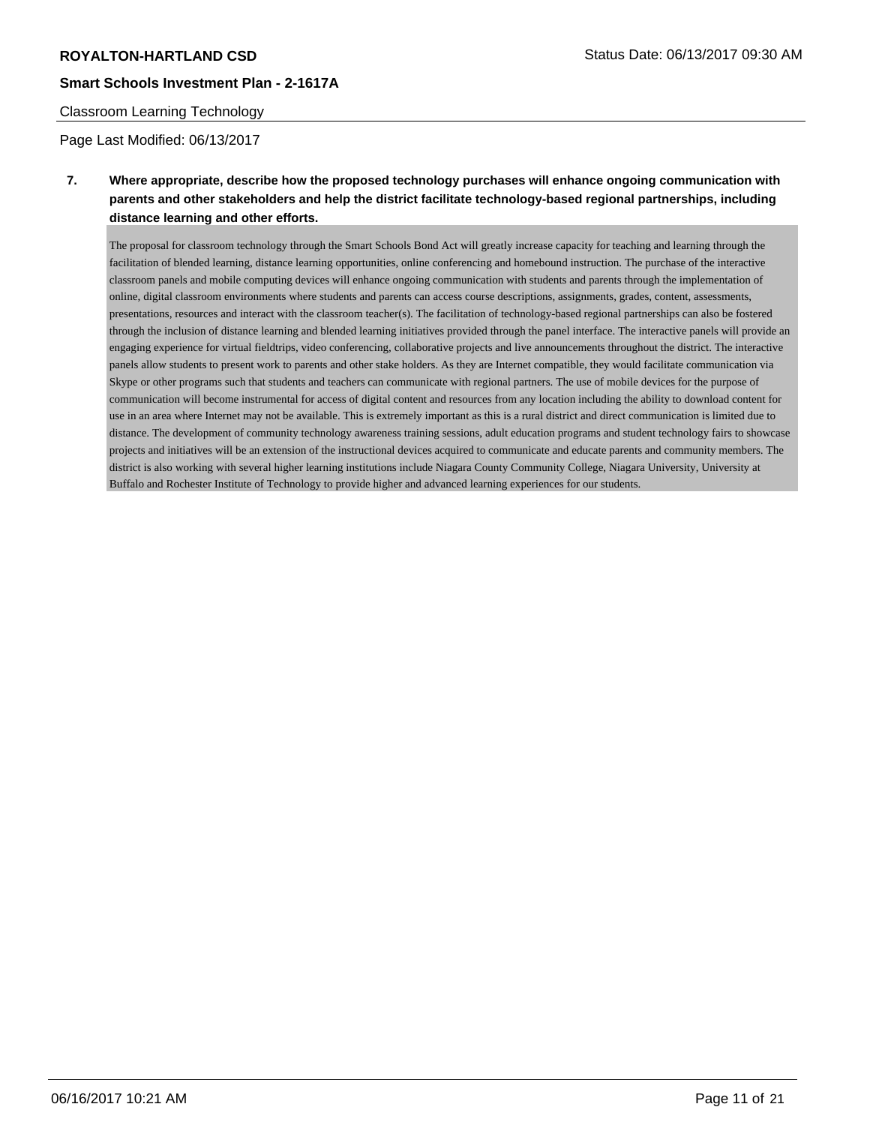## Classroom Learning Technology

Page Last Modified: 06/13/2017

# **7. Where appropriate, describe how the proposed technology purchases will enhance ongoing communication with parents and other stakeholders and help the district facilitate technology-based regional partnerships, including distance learning and other efforts.**

The proposal for classroom technology through the Smart Schools Bond Act will greatly increase capacity for teaching and learning through the facilitation of blended learning, distance learning opportunities, online conferencing and homebound instruction. The purchase of the interactive classroom panels and mobile computing devices will enhance ongoing communication with students and parents through the implementation of online, digital classroom environments where students and parents can access course descriptions, assignments, grades, content, assessments, presentations, resources and interact with the classroom teacher(s). The facilitation of technology-based regional partnerships can also be fostered through the inclusion of distance learning and blended learning initiatives provided through the panel interface. The interactive panels will provide an engaging experience for virtual fieldtrips, video conferencing, collaborative projects and live announcements throughout the district. The interactive panels allow students to present work to parents and other stake holders. As they are Internet compatible, they would facilitate communication via Skype or other programs such that students and teachers can communicate with regional partners. The use of mobile devices for the purpose of communication will become instrumental for access of digital content and resources from any location including the ability to download content for use in an area where Internet may not be available. This is extremely important as this is a rural district and direct communication is limited due to distance. The development of community technology awareness training sessions, adult education programs and student technology fairs to showcase projects and initiatives will be an extension of the instructional devices acquired to communicate and educate parents and community members. The district is also working with several higher learning institutions include Niagara County Community College, Niagara University, University at Buffalo and Rochester Institute of Technology to provide higher and advanced learning experiences for our students.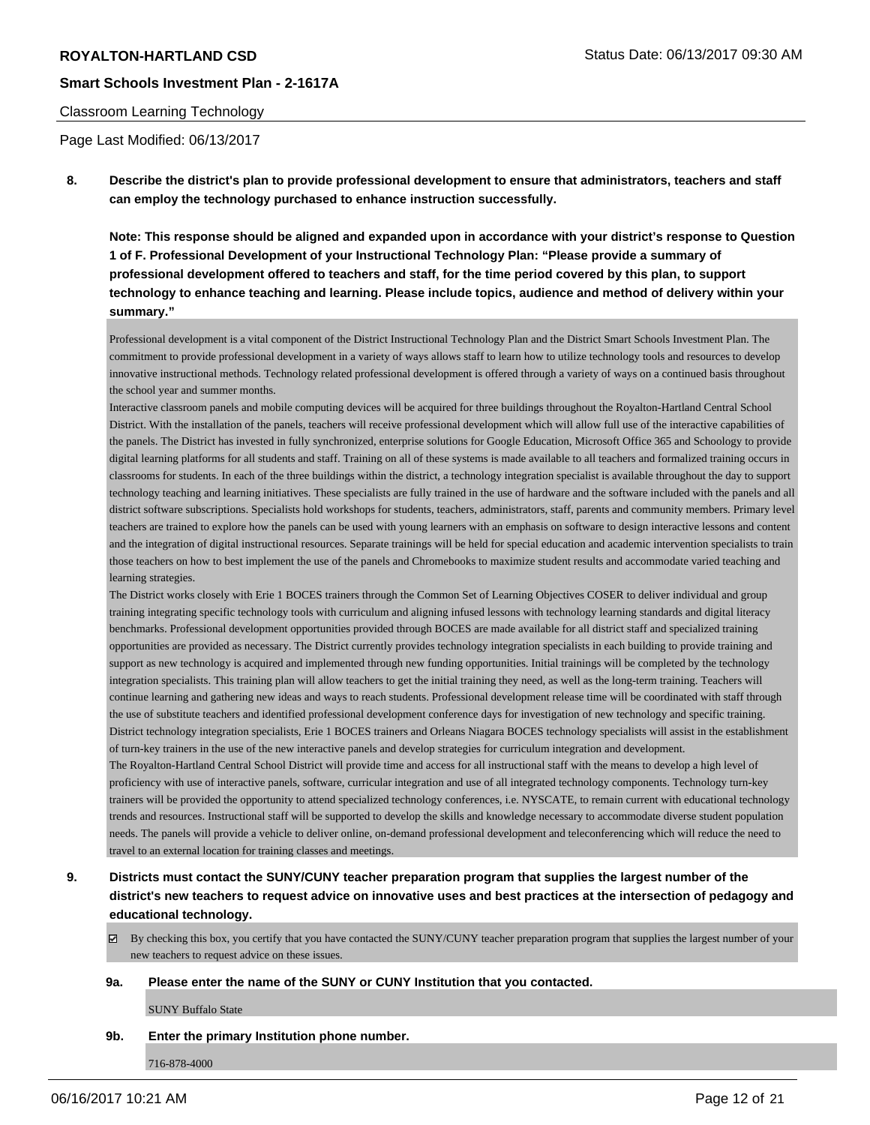## Classroom Learning Technology

Page Last Modified: 06/13/2017

**8. Describe the district's plan to provide professional development to ensure that administrators, teachers and staff can employ the technology purchased to enhance instruction successfully.**

**Note: This response should be aligned and expanded upon in accordance with your district's response to Question 1 of F. Professional Development of your Instructional Technology Plan: "Please provide a summary of professional development offered to teachers and staff, for the time period covered by this plan, to support technology to enhance teaching and learning. Please include topics, audience and method of delivery within your summary."**

Professional development is a vital component of the District Instructional Technology Plan and the District Smart Schools Investment Plan. The commitment to provide professional development in a variety of ways allows staff to learn how to utilize technology tools and resources to develop innovative instructional methods. Technology related professional development is offered through a variety of ways on a continued basis throughout the school year and summer months.

Interactive classroom panels and mobile computing devices will be acquired for three buildings throughout the Royalton-Hartland Central School District. With the installation of the panels, teachers will receive professional development which will allow full use of the interactive capabilities of the panels. The District has invested in fully synchronized, enterprise solutions for Google Education, Microsoft Office 365 and Schoology to provide digital learning platforms for all students and staff. Training on all of these systems is made available to all teachers and formalized training occurs in classrooms for students. In each of the three buildings within the district, a technology integration specialist is available throughout the day to support technology teaching and learning initiatives. These specialists are fully trained in the use of hardware and the software included with the panels and all district software subscriptions. Specialists hold workshops for students, teachers, administrators, staff, parents and community members. Primary level teachers are trained to explore how the panels can be used with young learners with an emphasis on software to design interactive lessons and content and the integration of digital instructional resources. Separate trainings will be held for special education and academic intervention specialists to train those teachers on how to best implement the use of the panels and Chromebooks to maximize student results and accommodate varied teaching and learning strategies.

The District works closely with Erie 1 BOCES trainers through the Common Set of Learning Objectives COSER to deliver individual and group training integrating specific technology tools with curriculum and aligning infused lessons with technology learning standards and digital literacy benchmarks. Professional development opportunities provided through BOCES are made available for all district staff and specialized training opportunities are provided as necessary. The District currently provides technology integration specialists in each building to provide training and support as new technology is acquired and implemented through new funding opportunities. Initial trainings will be completed by the technology integration specialists. This training plan will allow teachers to get the initial training they need, as well as the long-term training. Teachers will continue learning and gathering new ideas and ways to reach students. Professional development release time will be coordinated with staff through the use of substitute teachers and identified professional development conference days for investigation of new technology and specific training. District technology integration specialists, Erie 1 BOCES trainers and Orleans Niagara BOCES technology specialists will assist in the establishment of turn-key trainers in the use of the new interactive panels and develop strategies for curriculum integration and development.

The Royalton-Hartland Central School District will provide time and access for all instructional staff with the means to develop a high level of proficiency with use of interactive panels, software, curricular integration and use of all integrated technology components. Technology turn-key trainers will be provided the opportunity to attend specialized technology conferences, i.e. NYSCATE, to remain current with educational technology trends and resources. Instructional staff will be supported to develop the skills and knowledge necessary to accommodate diverse student population needs. The panels will provide a vehicle to deliver online, on-demand professional development and teleconferencing which will reduce the need to travel to an external location for training classes and meetings.

- **9. Districts must contact the SUNY/CUNY teacher preparation program that supplies the largest number of the district's new teachers to request advice on innovative uses and best practices at the intersection of pedagogy and educational technology.**
	- $\boxtimes$  By checking this box, you certify that you have contacted the SUNY/CUNY teacher preparation program that supplies the largest number of your new teachers to request advice on these issues.

### **9a. Please enter the name of the SUNY or CUNY Institution that you contacted.**

SUNY Buffalo State

**9b. Enter the primary Institution phone number.**

716-878-4000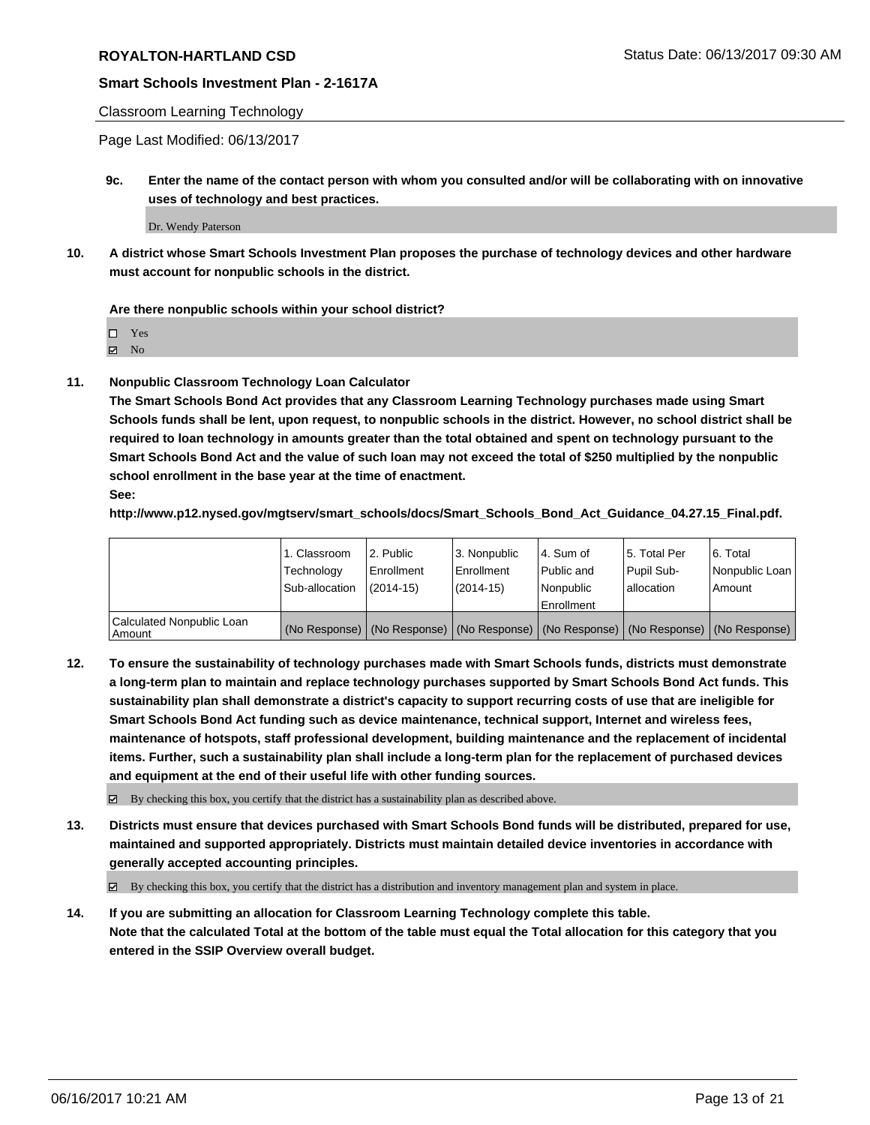## Classroom Learning Technology

Page Last Modified: 06/13/2017

**9c. Enter the name of the contact person with whom you consulted and/or will be collaborating with on innovative uses of technology and best practices.**

Dr. Wendy Paterson

**10. A district whose Smart Schools Investment Plan proposes the purchase of technology devices and other hardware must account for nonpublic schools in the district.**

**Are there nonpublic schools within your school district?**

Yes

 $\boxtimes$  No

**11. Nonpublic Classroom Technology Loan Calculator**

**The Smart Schools Bond Act provides that any Classroom Learning Technology purchases made using Smart Schools funds shall be lent, upon request, to nonpublic schools in the district. However, no school district shall be required to loan technology in amounts greater than the total obtained and spent on technology pursuant to the Smart Schools Bond Act and the value of such loan may not exceed the total of \$250 multiplied by the nonpublic school enrollment in the base year at the time of enactment.**

**See:**

**http://www.p12.nysed.gov/mgtserv/smart\_schools/docs/Smart\_Schools\_Bond\_Act\_Guidance\_04.27.15\_Final.pdf.**

|                                       | 1. Classroom<br>Technology | l 2. Public<br>Enrollment | 3. Nonpublic<br>Enrollment | l 4. Sum of<br>Public and | 15. Total Per<br>Pupil Sub- | 6. Total<br>Nonpublic Loan                                                                    |
|---------------------------------------|----------------------------|---------------------------|----------------------------|---------------------------|-----------------------------|-----------------------------------------------------------------------------------------------|
|                                       | Sub-allocation             | $(2014-15)$               | $(2014-15)$                | l Nonpublic               | allocation                  | Amount                                                                                        |
|                                       |                            |                           |                            | Enrollment                |                             |                                                                                               |
| Calculated Nonpublic Loan<br>  Amount |                            |                           |                            |                           |                             | (No Response)   (No Response)   (No Response)   (No Response)   (No Response)   (No Response) |

**12. To ensure the sustainability of technology purchases made with Smart Schools funds, districts must demonstrate a long-term plan to maintain and replace technology purchases supported by Smart Schools Bond Act funds. This sustainability plan shall demonstrate a district's capacity to support recurring costs of use that are ineligible for Smart Schools Bond Act funding such as device maintenance, technical support, Internet and wireless fees, maintenance of hotspots, staff professional development, building maintenance and the replacement of incidental items. Further, such a sustainability plan shall include a long-term plan for the replacement of purchased devices and equipment at the end of their useful life with other funding sources.**

 $\boxtimes$  By checking this box, you certify that the district has a sustainability plan as described above.

**13. Districts must ensure that devices purchased with Smart Schools Bond funds will be distributed, prepared for use, maintained and supported appropriately. Districts must maintain detailed device inventories in accordance with generally accepted accounting principles.**

By checking this box, you certify that the district has a distribution and inventory management plan and system in place.

**14. If you are submitting an allocation for Classroom Learning Technology complete this table. Note that the calculated Total at the bottom of the table must equal the Total allocation for this category that you entered in the SSIP Overview overall budget.**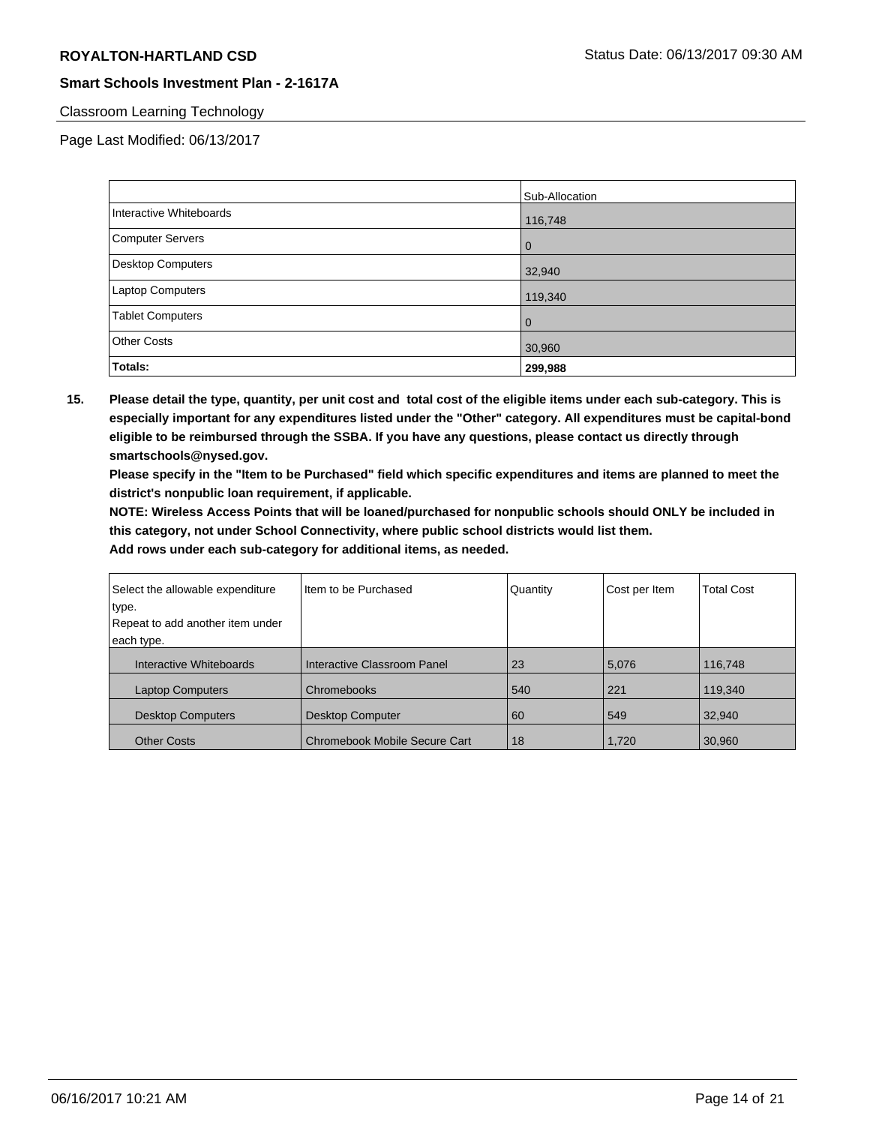## Classroom Learning Technology

Page Last Modified: 06/13/2017

|                          | Sub-Allocation |
|--------------------------|----------------|
| Interactive Whiteboards  | 116,748        |
| Computer Servers         | 0              |
| <b>Desktop Computers</b> | 32,940         |
| <b>Laptop Computers</b>  | 119,340        |
| <b>Tablet Computers</b>  | 0              |
| <b>Other Costs</b>       | 30,960         |
| Totals:                  | 299,988        |

**15. Please detail the type, quantity, per unit cost and total cost of the eligible items under each sub-category. This is especially important for any expenditures listed under the "Other" category. All expenditures must be capital-bond eligible to be reimbursed through the SSBA. If you have any questions, please contact us directly through smartschools@nysed.gov.**

**Please specify in the "Item to be Purchased" field which specific expenditures and items are planned to meet the district's nonpublic loan requirement, if applicable.**

**NOTE: Wireless Access Points that will be loaned/purchased for nonpublic schools should ONLY be included in this category, not under School Connectivity, where public school districts would list them.**

| Select the allowable expenditure | Item to be Purchased          | Quantity | Cost per Item | <b>Total Cost</b> |
|----------------------------------|-------------------------------|----------|---------------|-------------------|
| type.                            |                               |          |               |                   |
| Repeat to add another item under |                               |          |               |                   |
| each type.                       |                               |          |               |                   |
| Interactive Whiteboards          | Interactive Classroom Panel   | 23       | 5,076         | 116,748           |
| <b>Laptop Computers</b>          | Chromebooks                   | 540      | 221           | 119,340           |
| <b>Desktop Computers</b>         | <b>Desktop Computer</b>       | 60       | 549           | 32,940            |
| <b>Other Costs</b>               | Chromebook Mobile Secure Cart | 18       | 1,720         | 30,960            |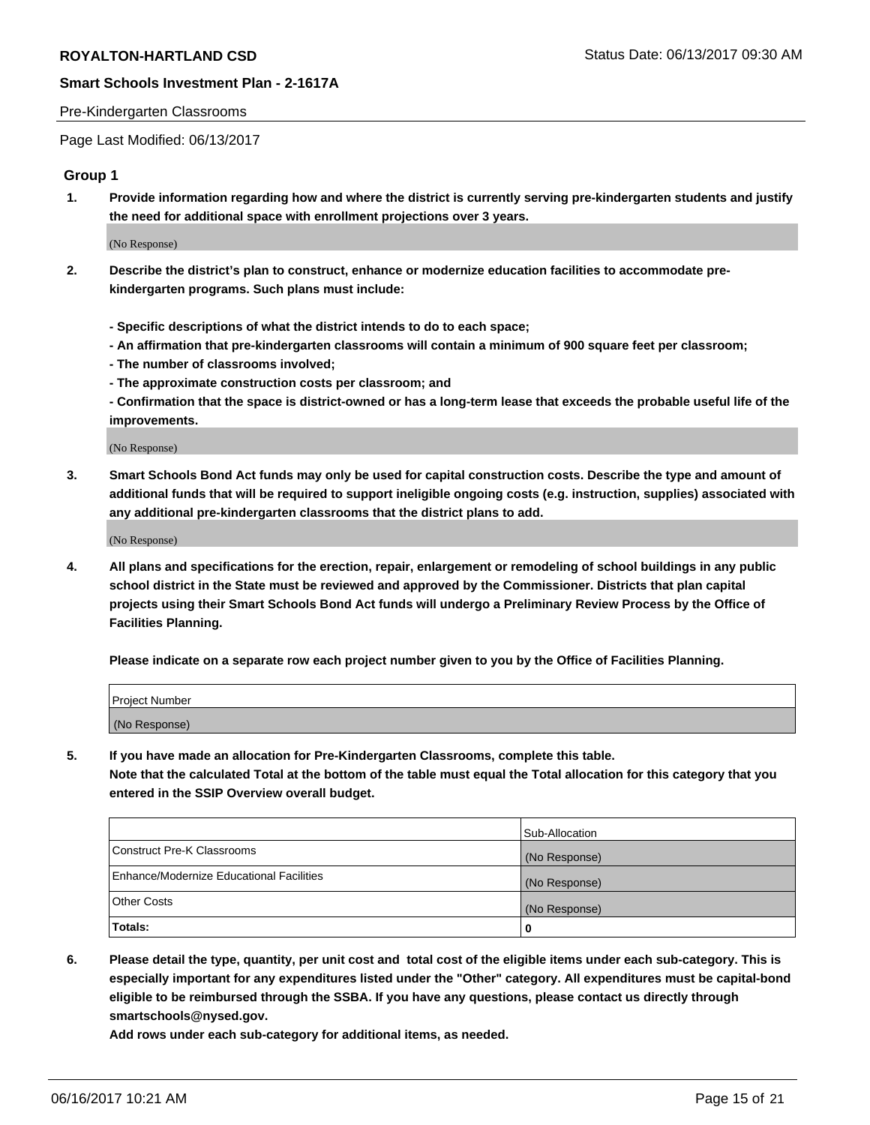## Pre-Kindergarten Classrooms

Page Last Modified: 06/13/2017

## **Group 1**

**1. Provide information regarding how and where the district is currently serving pre-kindergarten students and justify the need for additional space with enrollment projections over 3 years.**

(No Response)

- **2. Describe the district's plan to construct, enhance or modernize education facilities to accommodate prekindergarten programs. Such plans must include:**
	- **Specific descriptions of what the district intends to do to each space;**
	- **An affirmation that pre-kindergarten classrooms will contain a minimum of 900 square feet per classroom;**
	- **The number of classrooms involved;**
	- **The approximate construction costs per classroom; and**
	- **Confirmation that the space is district-owned or has a long-term lease that exceeds the probable useful life of the improvements.**

(No Response)

**3. Smart Schools Bond Act funds may only be used for capital construction costs. Describe the type and amount of additional funds that will be required to support ineligible ongoing costs (e.g. instruction, supplies) associated with any additional pre-kindergarten classrooms that the district plans to add.**

(No Response)

**4. All plans and specifications for the erection, repair, enlargement or remodeling of school buildings in any public school district in the State must be reviewed and approved by the Commissioner. Districts that plan capital projects using their Smart Schools Bond Act funds will undergo a Preliminary Review Process by the Office of Facilities Planning.**

**Please indicate on a separate row each project number given to you by the Office of Facilities Planning.**

| Project Number |  |
|----------------|--|
| (No Response)  |  |

**5. If you have made an allocation for Pre-Kindergarten Classrooms, complete this table. Note that the calculated Total at the bottom of the table must equal the Total allocation for this category that you entered in the SSIP Overview overall budget.**

| Totals:                                  | 0              |
|------------------------------------------|----------------|
| Other Costs                              | (No Response)  |
| Enhance/Modernize Educational Facilities | (No Response)  |
| Construct Pre-K Classrooms               | (No Response)  |
|                                          | Sub-Allocation |

**6. Please detail the type, quantity, per unit cost and total cost of the eligible items under each sub-category. This is especially important for any expenditures listed under the "Other" category. All expenditures must be capital-bond eligible to be reimbursed through the SSBA. If you have any questions, please contact us directly through smartschools@nysed.gov.**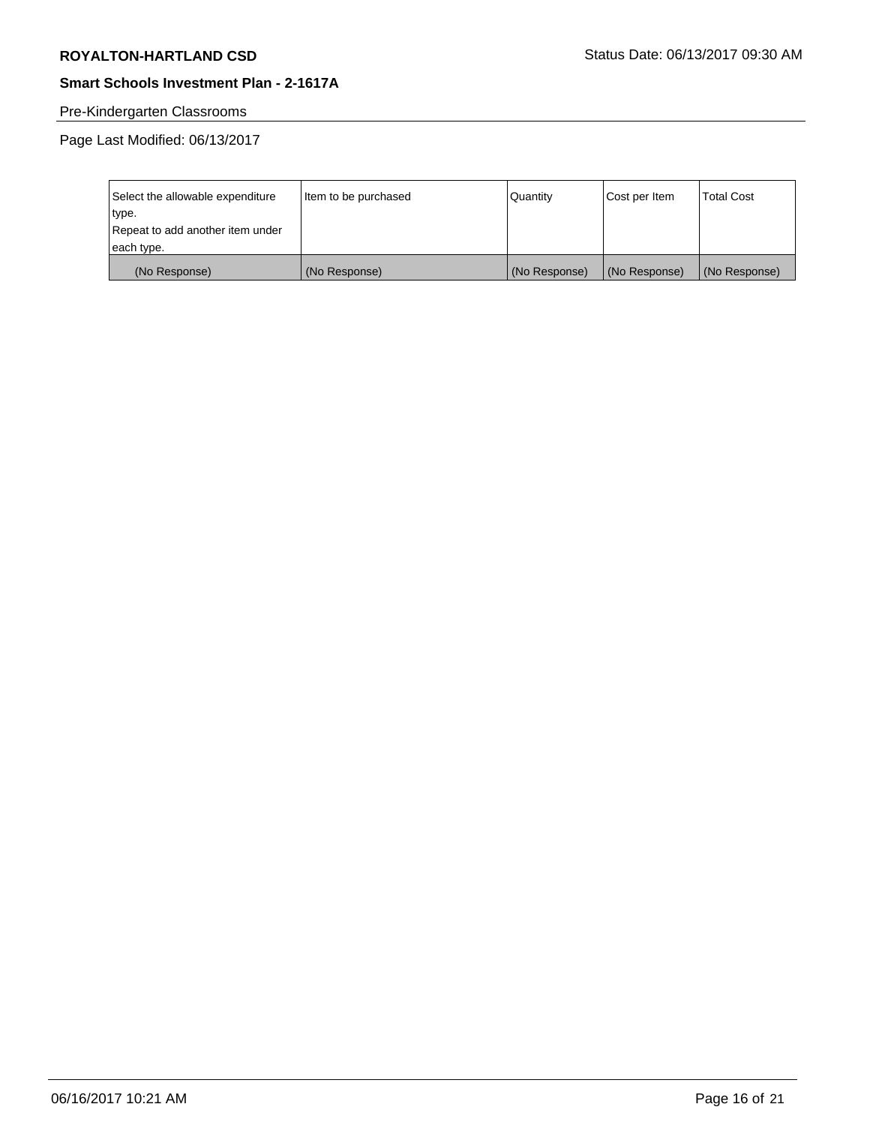# Pre-Kindergarten Classrooms

| Select the allowable expenditure | Item to be purchased | Quantity      | Cost per Item | <b>Total Cost</b> |
|----------------------------------|----------------------|---------------|---------------|-------------------|
| type.                            |                      |               |               |                   |
| Repeat to add another item under |                      |               |               |                   |
| each type.                       |                      |               |               |                   |
| (No Response)                    | (No Response)        | (No Response) | (No Response) | (No Response)     |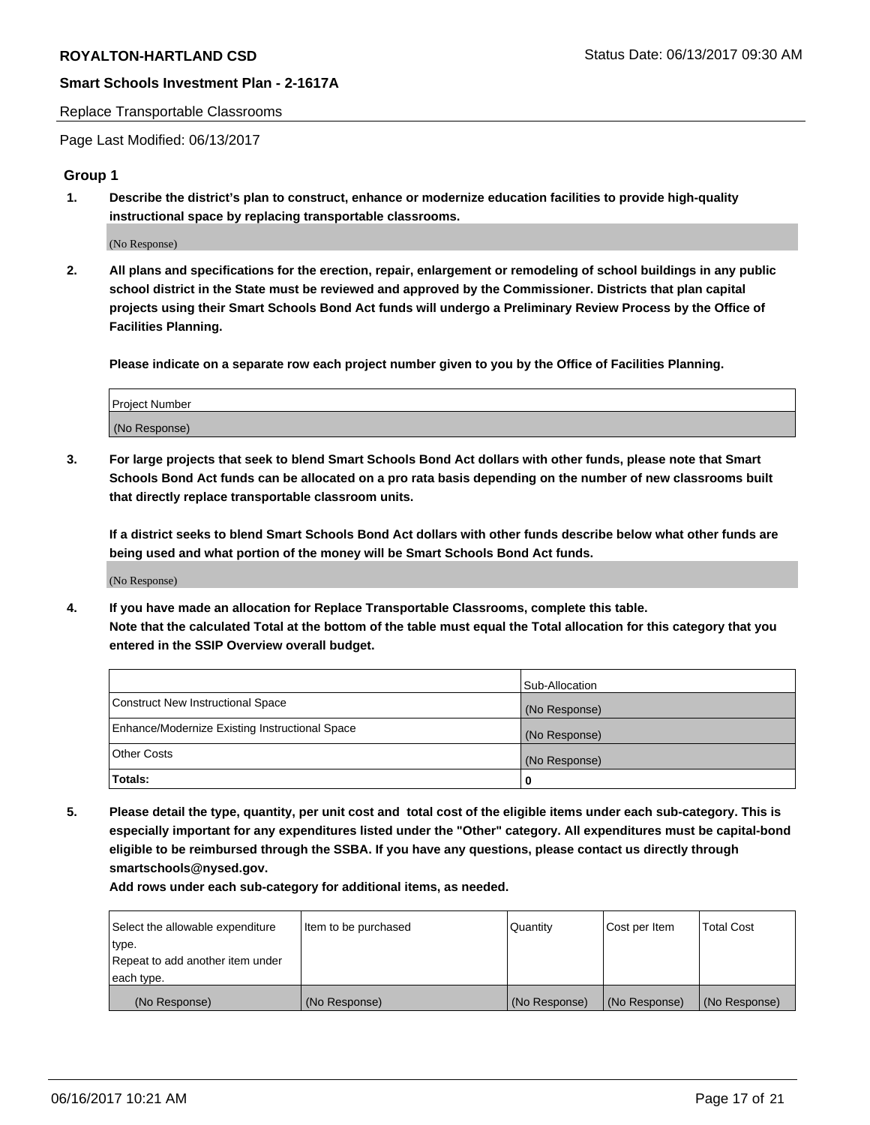### Replace Transportable Classrooms

Page Last Modified: 06/13/2017

## **Group 1**

**1. Describe the district's plan to construct, enhance or modernize education facilities to provide high-quality instructional space by replacing transportable classrooms.**

(No Response)

**2. All plans and specifications for the erection, repair, enlargement or remodeling of school buildings in any public school district in the State must be reviewed and approved by the Commissioner. Districts that plan capital projects using their Smart Schools Bond Act funds will undergo a Preliminary Review Process by the Office of Facilities Planning.**

**Please indicate on a separate row each project number given to you by the Office of Facilities Planning.**

| Project Number |  |
|----------------|--|
| (No Response)  |  |

**3. For large projects that seek to blend Smart Schools Bond Act dollars with other funds, please note that Smart Schools Bond Act funds can be allocated on a pro rata basis depending on the number of new classrooms built that directly replace transportable classroom units.**

**If a district seeks to blend Smart Schools Bond Act dollars with other funds describe below what other funds are being used and what portion of the money will be Smart Schools Bond Act funds.**

(No Response)

**4. If you have made an allocation for Replace Transportable Classrooms, complete this table. Note that the calculated Total at the bottom of the table must equal the Total allocation for this category that you entered in the SSIP Overview overall budget.**

|                                                | Sub-Allocation |
|------------------------------------------------|----------------|
| Construct New Instructional Space              | (No Response)  |
| Enhance/Modernize Existing Instructional Space | (No Response)  |
| Other Costs                                    | (No Response)  |
| Totals:                                        | $\Omega$       |

**5. Please detail the type, quantity, per unit cost and total cost of the eligible items under each sub-category. This is especially important for any expenditures listed under the "Other" category. All expenditures must be capital-bond eligible to be reimbursed through the SSBA. If you have any questions, please contact us directly through smartschools@nysed.gov.**

| Select the allowable expenditure | Item to be purchased | Quantity      | Cost per Item | <b>Total Cost</b> |
|----------------------------------|----------------------|---------------|---------------|-------------------|
| type.                            |                      |               |               |                   |
| Repeat to add another item under |                      |               |               |                   |
| each type.                       |                      |               |               |                   |
| (No Response)                    | (No Response)        | (No Response) | (No Response) | (No Response)     |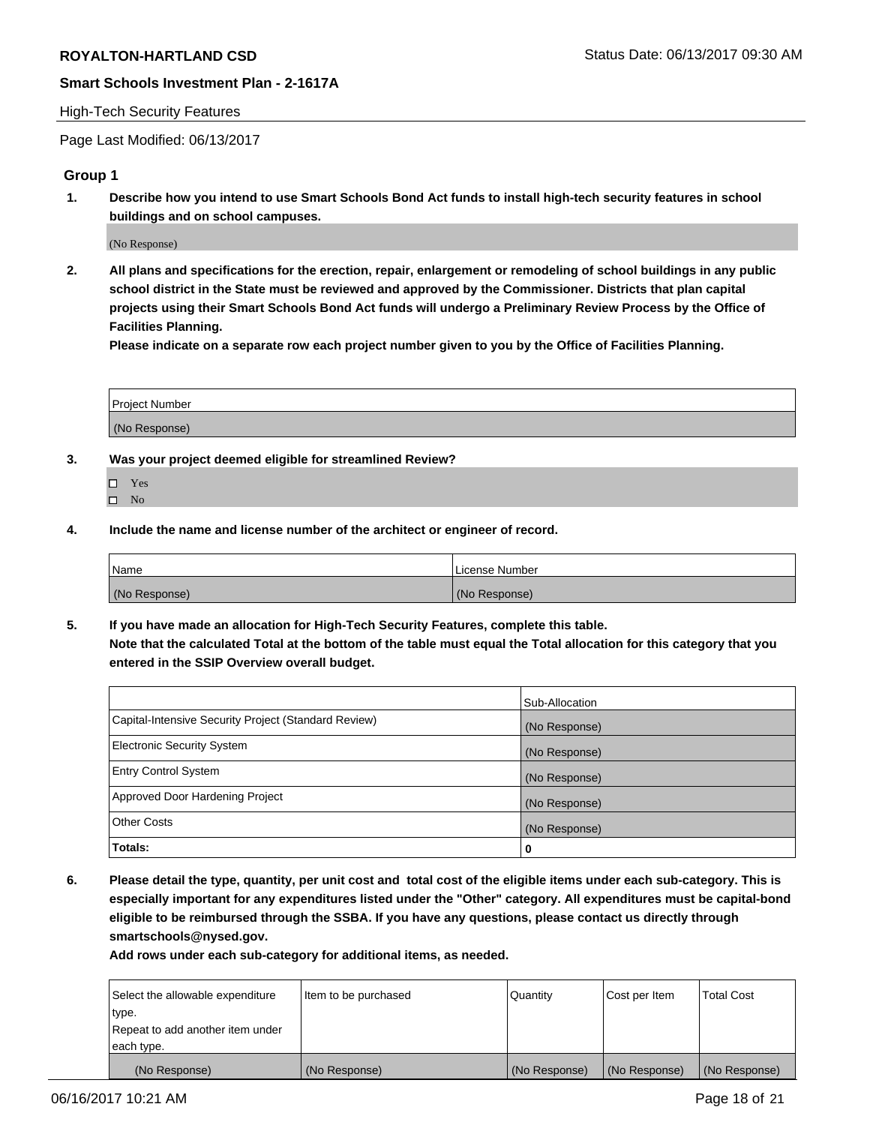## High-Tech Security Features

Page Last Modified: 06/13/2017

## **Group 1**

**1. Describe how you intend to use Smart Schools Bond Act funds to install high-tech security features in school buildings and on school campuses.**

(No Response)

**2. All plans and specifications for the erection, repair, enlargement or remodeling of school buildings in any public school district in the State must be reviewed and approved by the Commissioner. Districts that plan capital projects using their Smart Schools Bond Act funds will undergo a Preliminary Review Process by the Office of Facilities Planning.** 

**Please indicate on a separate row each project number given to you by the Office of Facilities Planning.**

| Project Number |  |
|----------------|--|
|                |  |
| (No Response)  |  |

- **3. Was your project deemed eligible for streamlined Review?**
	- Yes  $\hfill \square$  No
- **4. Include the name and license number of the architect or engineer of record.**

| Name          | l License Number |
|---------------|------------------|
| (No Response) | (No Response)    |

**5. If you have made an allocation for High-Tech Security Features, complete this table. Note that the calculated Total at the bottom of the table must equal the Total allocation for this category that you entered in the SSIP Overview overall budget.**

|                                                      | Sub-Allocation |
|------------------------------------------------------|----------------|
| Capital-Intensive Security Project (Standard Review) | (No Response)  |
| Electronic Security System                           | (No Response)  |
| <b>Entry Control System</b>                          | (No Response)  |
| Approved Door Hardening Project                      | (No Response)  |
| <b>Other Costs</b>                                   | (No Response)  |
| Totals:                                              | 0              |

**6. Please detail the type, quantity, per unit cost and total cost of the eligible items under each sub-category. This is especially important for any expenditures listed under the "Other" category. All expenditures must be capital-bond eligible to be reimbursed through the SSBA. If you have any questions, please contact us directly through smartschools@nysed.gov.**

| (No Response)                    | (No Response)        | (No Response) | (No Response) | (No Response)     |
|----------------------------------|----------------------|---------------|---------------|-------------------|
| each type.                       |                      |               |               |                   |
| Repeat to add another item under |                      |               |               |                   |
| type.                            |                      |               |               |                   |
| Select the allowable expenditure | Item to be purchased | Quantity      | Cost per Item | <b>Total Cost</b> |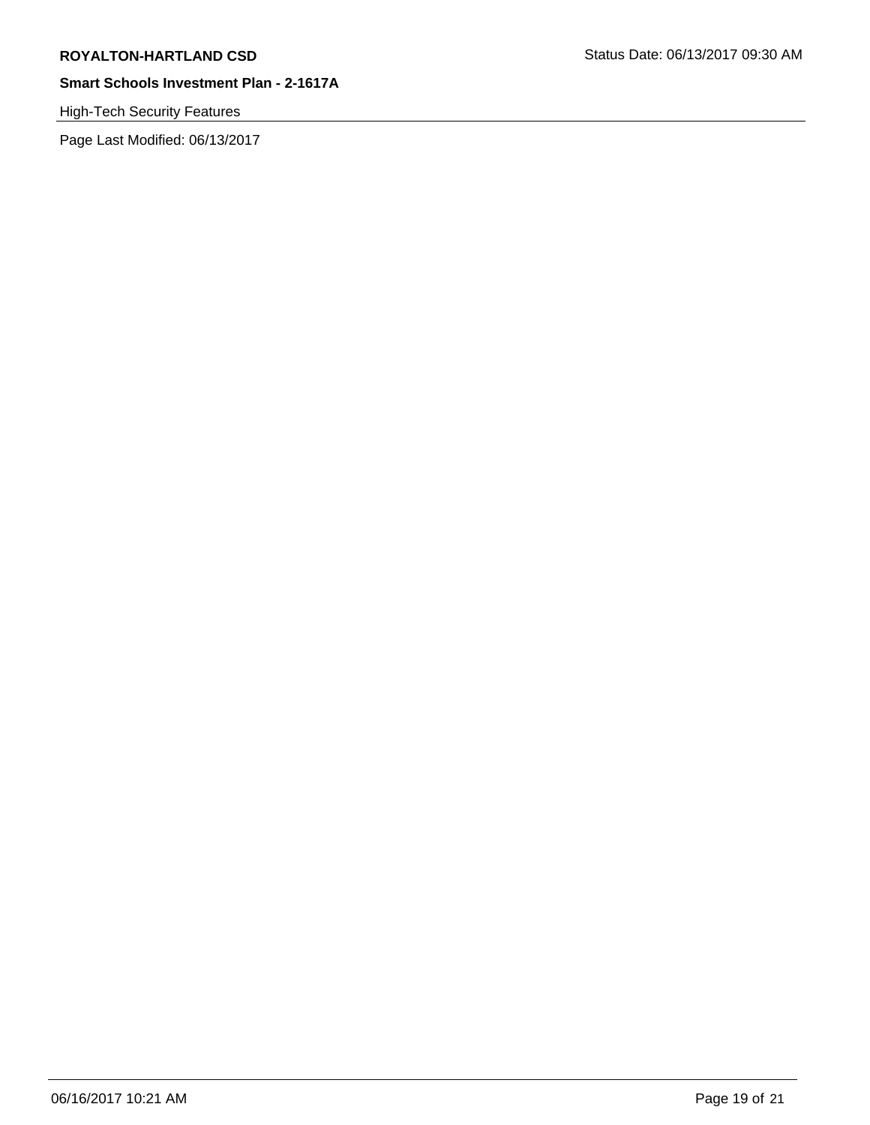# High-Tech Security Features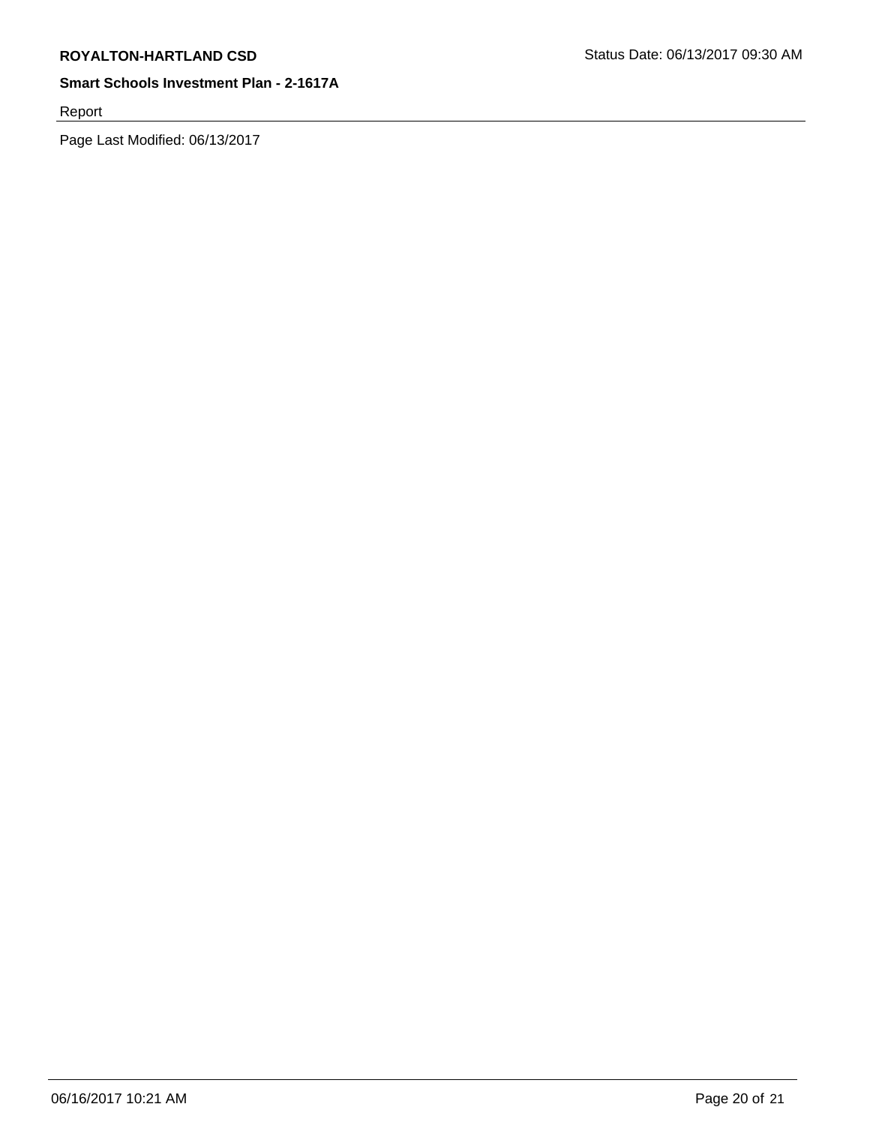Report